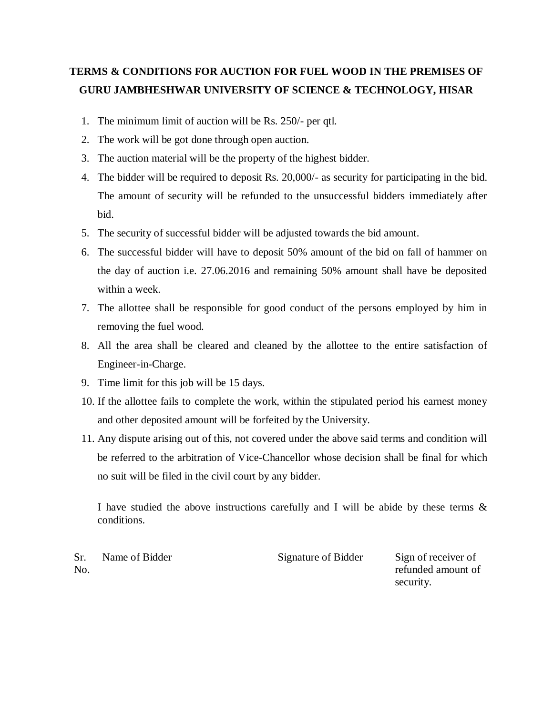## **TERMS & CONDITIONS FOR AUCTION FOR FUEL WOOD IN THE PREMISES OF GURU JAMBHESHWAR UNIVERSITY OF SCIENCE & TECHNOLOGY, HISAR**

- 1. The minimum limit of auction will be Rs. 250/- per qtl.
- 2. The work will be got done through open auction.
- 3. The auction material will be the property of the highest bidder.
- 4. The bidder will be required to deposit Rs. 20,000/- as security for participating in the bid. The amount of security will be refunded to the unsuccessful bidders immediately after bid.
- 5. The security of successful bidder will be adjusted towards the bid amount.
- 6. The successful bidder will have to deposit 50% amount of the bid on fall of hammer on the day of auction i.e. 27.06.2016 and remaining 50% amount shall have be deposited within a week.
- 7. The allottee shall be responsible for good conduct of the persons employed by him in removing the fuel wood.
- 8. All the area shall be cleared and cleaned by the allottee to the entire satisfaction of Engineer-in-Charge.
- 9. Time limit for this job will be 15 days.
- 10. If the allottee fails to complete the work, within the stipulated period his earnest money and other deposited amount will be forfeited by the University.
- 11. Any dispute arising out of this, not covered under the above said terms and condition will be referred to the arbitration of Vice-Chancellor whose decision shall be final for which no suit will be filed in the civil court by any bidder.

I have studied the above instructions carefully and I will be abide by these terms & conditions.

Sr. No.

Name of Bidder Signature of Bidder Sign of receiver of

refunded amount of security.